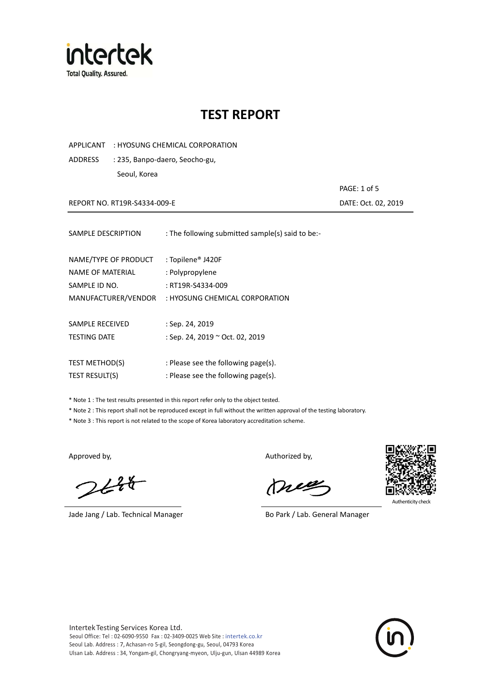

APPLICANT : HYOSUNG CHEMICAL CORPORATION

ADDRESS : 235, Banpo-daero, Seocho-gu,

Seoul, Korea

REPORT NO. RT19R-S4334-009-E **DATE: Oct. 02, 2019** 

PAGE: 1 of 5

| SAMPLE DESCRIPTION   | : The following submitted sample(s) said to be:- |
|----------------------|--------------------------------------------------|
| NAME/TYPE OF PRODUCT | : Topilene® J420F                                |
| NAME OF MATERIAL     | : Polypropylene                                  |
| SAMPLE ID NO.        | : RT19R-S4334-009                                |
| MANUFACTURER/VENDOR  | : HYOSUNG CHEMICAL CORPORATION                   |
| SAMPLE RECEIVED      | : Sep. 24, 2019                                  |
| <b>TESTING DATE</b>  | : Sep. 24, 2019 ~ Oct. 02, 2019                  |
| TEST METHOD(S)       | : Please see the following page(s).              |
| TEST RESULT(S)       | : Please see the following page(s).              |

\* Note 1 : The test results presented in this report refer only to the object tested.

\* Note 2 : This report shall not be reproduced except in full without the written approval of the testing laboratory.

\* Note 3 : This report is not related to the scope of Korea laboratory accreditation scheme.

 $2648$ 

Jade Jang / Lab. Technical Manager Bo Park / Lab. General Manager

Approved by, Authorized by, Authorized by,

Kr



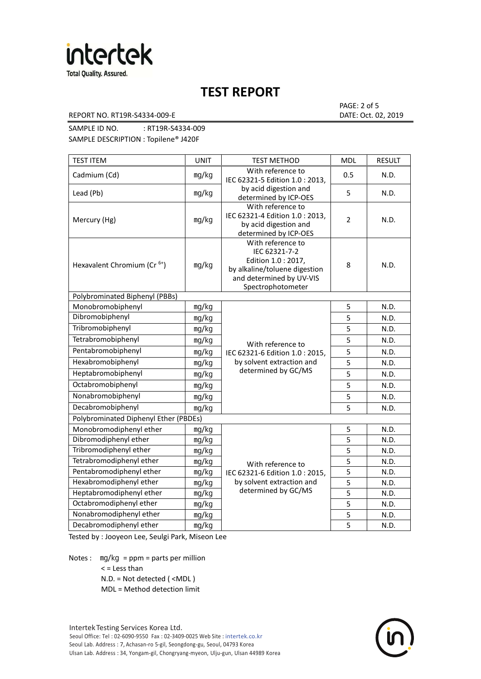

#### REPORT NO. RT19R-S4334-009-E DATE: Oct. 02, 2019

PAGE: 2 of 5

SAMPLE ID NO. : RT19R-S4334-009 SAMPLE DESCRIPTION : Topilene® J420F

| <b>TEST ITEM</b>                        | <b>UNIT</b> | <b>TEST METHOD</b>                                                                                                                          | MDL            | <b>RESULT</b> |
|-----------------------------------------|-------------|---------------------------------------------------------------------------------------------------------------------------------------------|----------------|---------------|
| Cadmium (Cd)                            | mg/kg       | With reference to<br>IEC 62321-5 Edition 1.0 : 2013,                                                                                        | 0.5            | N.D.          |
| Lead (Pb)                               | mg/kg       | by acid digestion and<br>determined by ICP-OES                                                                                              | 5              | N.D.          |
| Mercury (Hg)                            | mg/kg       | With reference to<br>IEC 62321-4 Edition 1.0 : 2013,<br>by acid digestion and<br>determined by ICP-OES                                      | $\overline{2}$ | N.D.          |
| Hexavalent Chromium (Cr <sup>6+</sup> ) | mg/kg       | With reference to<br>IEC 62321-7-2<br>Edition 1.0 : 2017,<br>by alkaline/toluene digestion<br>and determined by UV-VIS<br>Spectrophotometer | 8              | N.D.          |
| Polybrominated Biphenyl (PBBs)          |             |                                                                                                                                             |                |               |
| Monobromobiphenyl                       | mg/kg       |                                                                                                                                             | 5              | N.D.          |
| Dibromobiphenyl                         | mg/kg       |                                                                                                                                             | 5              | N.D.          |
| Tribromobiphenyl                        | mg/kg       |                                                                                                                                             | 5              | N.D.          |
| Tetrabromobiphenyl                      | mg/kg       | With reference to                                                                                                                           | 5              | N.D.          |
| Pentabromobiphenyl                      | mg/kg       | IEC 62321-6 Edition 1.0 : 2015,                                                                                                             | 5              | N.D.          |
| Hexabromobiphenyl                       | mg/kg       | by solvent extraction and                                                                                                                   | 5              | N.D.          |
| Heptabromobiphenyl                      | mg/kg       | determined by GC/MS                                                                                                                         | 5              | N.D.          |
| Octabromobiphenyl                       | mg/kg       |                                                                                                                                             | 5              | N.D.          |
| Nonabromobiphenyl                       | mg/kg       |                                                                                                                                             | 5              | N.D.          |
| Decabromobiphenyl                       | mg/kg       |                                                                                                                                             | 5              | N.D.          |
| Polybrominated Diphenyl Ether (PBDEs)   |             |                                                                                                                                             |                |               |
| Monobromodiphenyl ether                 | mg/kg       |                                                                                                                                             | 5              | N.D.          |
| Dibromodiphenyl ether                   | mg/kg       |                                                                                                                                             | 5              | N.D.          |
| Tribromodiphenyl ether                  | mg/kg       |                                                                                                                                             | 5              | N.D.          |
| Tetrabromodiphenyl ether                | mg/kg       | With reference to                                                                                                                           | 5              | N.D.          |
| Pentabromodiphenyl ether                | mg/kg       | IEC 62321-6 Edition 1.0 : 2015,                                                                                                             | 5              | N.D.          |
| Hexabromodiphenyl ether                 | mg/kg       | by solvent extraction and                                                                                                                   | 5              | N.D.          |
| Heptabromodiphenyl ether                | mg/kg       | determined by GC/MS                                                                                                                         | 5              | N.D.          |
| Octabromodiphenyl ether                 | mg/kg       |                                                                                                                                             | 5              | N.D.          |
| Nonabromodiphenyl ether                 | mg/kg       |                                                                                                                                             | 5              | N.D.          |
| Decabromodiphenyl ether                 | mg/kg       |                                                                                                                                             | 5              | N.D.          |

Tested by : Jooyeon Lee, Seulgi Park, Miseon Lee

Notes : mg/kg = ppm = parts per million

< = Less than

N.D. = Not detected ( <MDL )

MDL = Method detection limit

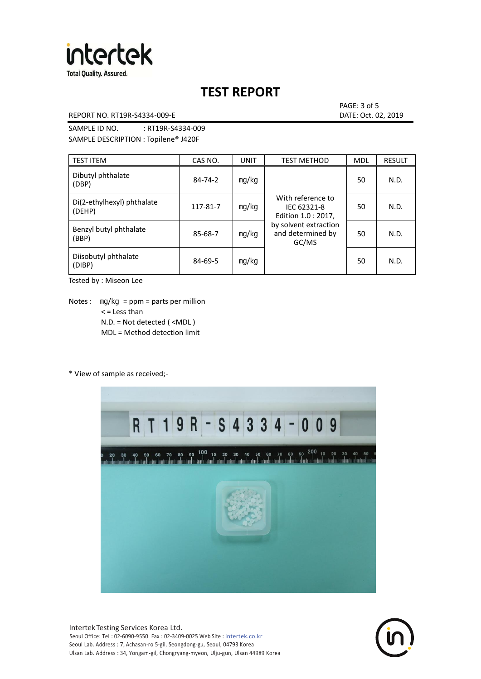

### REPORT NO. RT19R-S4334-009-E **DATE: Oct. 02, 2019**

PAGE: 3 of 5

SAMPLE ID NO. : RT19R-S4334-009 SAMPLE DESCRIPTION : Topilene® J420F

| <b>TEST ITEM</b>                     | CAS NO.  | <b>UNIT</b> | <b>TEST METHOD</b>                                      | <b>MDL</b> | <b>RESULT</b> |
|--------------------------------------|----------|-------------|---------------------------------------------------------|------------|---------------|
| Dibutyl phthalate<br>(DBP)           | 84-74-2  | mg/kg       | With reference to<br>IEC 62321-8<br>Edition 1.0 : 2017, | 50         | N.D.          |
| Di(2-ethylhexyl) phthalate<br>(DEHP) | 117-81-7 | mg/kg       |                                                         | 50         | N.D.          |
| Benzyl butyl phthalate<br>(BBP)      | 85-68-7  | mg/kg       | by solvent extraction<br>and determined by<br>GC/MS     | 50         | N.D.          |
| Diisobutyl phthalate<br>(DIBP)       | 84-69-5  | mg/kg       |                                                         | 50         | N.D.          |

Tested by : Miseon Lee

Notes : mg/kg = ppm = parts per million < = Less than N.D. = Not detected ( <MDL ) MDL = Method detection limit

### \* View of sample as received;-



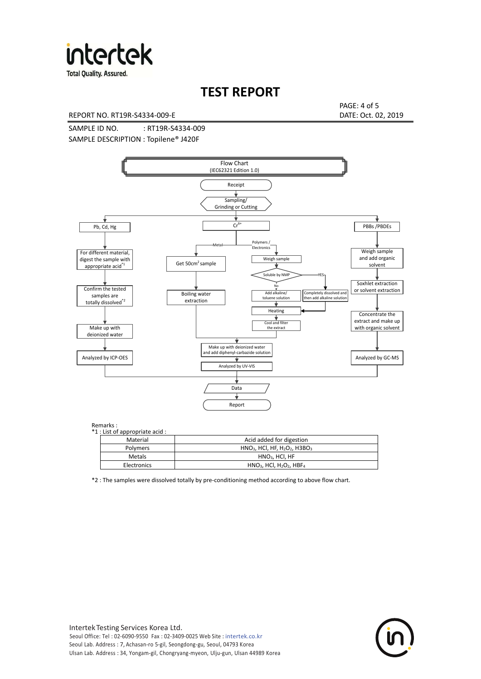

#### REPORT NO. RT19R-S4334-009-E DATE: Oct. 02, 2019

PAGE: 4 of 5

SAMPLE ID NO. : RT19R-S4334-009 SAMPLE DESCRIPTION : Topilene® J420F



| Material        | Acid added for digestion                                            |
|-----------------|---------------------------------------------------------------------|
| <b>Polymers</b> | $HNO3$ , HCl, HF, H <sub>2</sub> O <sub>2</sub> , H3BO <sub>3</sub> |
| Metals          | $HNO3$ , HCl, HF                                                    |
| Electronics     | $HNO3$ , HCl, H <sub>2</sub> O <sub>2</sub> , HBF <sub>4</sub>      |

\*2 : The samples were dissolved totally by pre-conditioning method according to above flow chart.